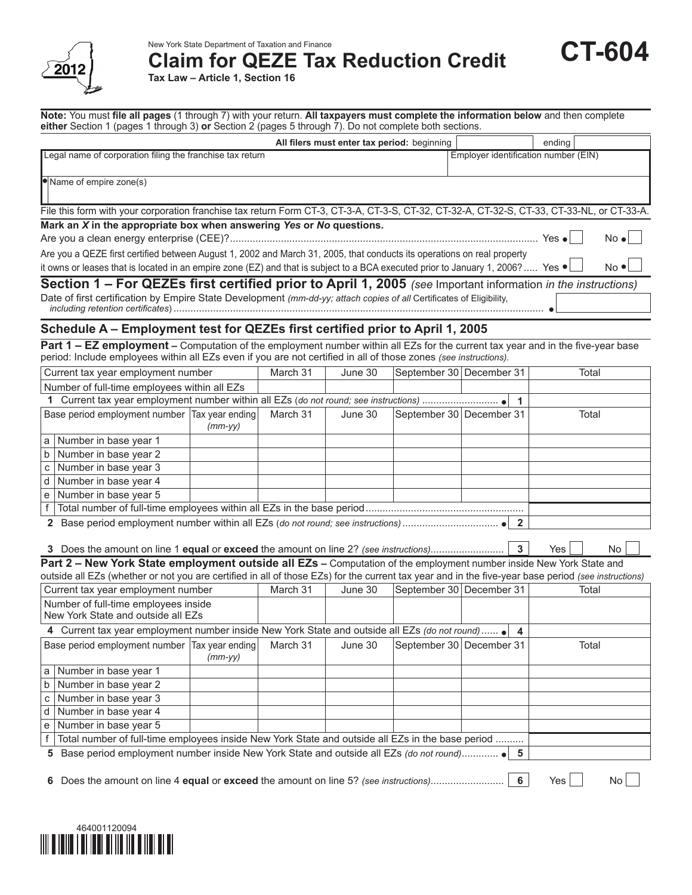

New York State Department of Taxation and Finance **Claim for QEZE Tax Reduction Credit**

 $\bullet$ 

**Tax Law – Article 1, Section 16**

**Note:** You must **file all pages** (1 through 7) with your return. **All taxpayers must complete the information below** and then complete **either** Section 1 (pages 1 through 3) **or** Section 2 (pages 5 through 7). Do not complete both sections.

| All filers must enter tax period: beginning                                                                                                               |                                      | ending        |              |  |  |  |
|-----------------------------------------------------------------------------------------------------------------------------------------------------------|--------------------------------------|---------------|--------------|--|--|--|
| Legal name of corporation filing the franchise tax return                                                                                                 | Employer identification number (EIN) |               |              |  |  |  |
|                                                                                                                                                           |                                      |               |              |  |  |  |
| Name of empire zone(s)                                                                                                                                    |                                      |               |              |  |  |  |
| File this form with your corporation franchise tax return Form CT-3, CT-3-A, CT-3-S, CT-32-A, CT-32-S, CT-33, CT-33-NL, or CT-33-A.                       |                                      |               |              |  |  |  |
| Mark an X in the appropriate box when answering Yes or No questions.                                                                                      |                                      |               |              |  |  |  |
|                                                                                                                                                           |                                      | Yes $\bullet$ | $No \cdot  $ |  |  |  |
| Are you a QEZE first certified between August 1, 2002 and March 31, 2005, that conducts its operations on real property                                   |                                      |               |              |  |  |  |
| $No$ $\bullet$<br>it owns or leases that is located in an empire zone (EZ) and that is subject to a BCA executed prior to January 1, 2006?  Yes $\bullet$ |                                      |               |              |  |  |  |
| Section 1 – For QEZEs first certified prior to April 1, 2005 (see Important information in the instructions)                                              |                                      |               |              |  |  |  |
| Data of first sortification by Empire Ctate Douglapment (user dd.com/stack service of all Continuations of Flightline                                     |                                      |               |              |  |  |  |

Date of first certification by Empire State Development *(mm-dd-yy; attach copies of all* Certificates of Eligibility, *including retention certificates*) ...................................................................................................................................

# **Schedule A – Employment test for QEZEs first certified prior to April 1, 2005**

**Part 1 – EZ employment** – Computation of the employment number within all EZs for the current tax year and in the five-year base period: Include employees within all EZs even if you are not certified in all of those zones *(see instructions).*

|                         | Current tax year employment number                                                                                                                  |           | March 31 | June 30 | September 30 December 31 |                         | Total            |  |
|-------------------------|-----------------------------------------------------------------------------------------------------------------------------------------------------|-----------|----------|---------|--------------------------|-------------------------|------------------|--|
|                         | Number of full-time employees within all EZs                                                                                                        |           |          |         |                          |                         |                  |  |
|                         |                                                                                                                                                     |           |          |         |                          | $\overline{1}$          |                  |  |
|                         | Base period employment number Tax year ending                                                                                                       | $(mm-yy)$ | March 31 | June 30 | September 30 December 31 |                         | Total            |  |
| ۱a                      | Number in base year 1                                                                                                                               |           |          |         |                          |                         |                  |  |
| $\boxed{b}$             | Number in base year 2                                                                                                                               |           |          |         |                          |                         |                  |  |
| $\mathbf c$             | Number in base year 3                                                                                                                               |           |          |         |                          |                         |                  |  |
| $\overline{d}$          | Number in base year 4                                                                                                                               |           |          |         |                          |                         |                  |  |
| e                       | Number in base year 5                                                                                                                               |           |          |         |                          |                         |                  |  |
| $\overline{f}$          |                                                                                                                                                     |           |          |         |                          |                         |                  |  |
|                         |                                                                                                                                                     |           |          |         |                          |                         |                  |  |
|                         | 3 Does the amount on line 1 equal or exceed the amount on line 2? (see instructions)                                                                |           |          |         |                          | $\overline{\mathbf{3}}$ | Yes<br><b>No</b> |  |
|                         | Part 2 - New York State employment outside all EZs - Computation of the employment number inside New York State and                                 |           |          |         |                          |                         |                  |  |
|                         | outside all EZs (whether or not you are certified in all of those EZs) for the current tax year and in the five-year base period (see instructions) |           |          |         |                          |                         |                  |  |
|                         | Current tax year employment number                                                                                                                  |           | March 31 | June 30 | September 30 December 31 |                         | Total            |  |
|                         | Number of full-time employees inside<br>New York State and outside all EZs                                                                          |           |          |         |                          |                         |                  |  |
|                         | 4 Current tax year employment number inside New York State and outside all EZs (do not round)  • 4                                                  |           |          |         |                          |                         |                  |  |
|                         | Base period employment number Tax year ending                                                                                                       | $(mm-yy)$ | March 31 | June 30 | September 30 December 31 |                         | Total            |  |
| ۱a                      | Number in base year 1                                                                                                                               |           |          |         |                          |                         |                  |  |
| $\overline{b}$          | Number in base year 2                                                                                                                               |           |          |         |                          |                         |                  |  |
| $\mathbf{C}$            | Number in base year 3                                                                                                                               |           |          |         |                          |                         |                  |  |
| $\overline{\mathsf{d}}$ | Number in base year 4                                                                                                                               |           |          |         |                          |                         |                  |  |
|                         | e Number in base year 5                                                                                                                             |           |          |         |                          |                         |                  |  |
| $\sf f$                 | Total number of full-time employees inside New York State and outside all EZs in the base period                                                    |           |          |         |                          |                         |                  |  |
|                         |                                                                                                                                                     |           |          |         |                          |                         |                  |  |
|                         | 5 Base period employment number inside New York State and outside all EZs (do not round) • 5                                                        |           |          |         |                          |                         |                  |  |
|                         |                                                                                                                                                     |           |          |         |                          |                         |                  |  |

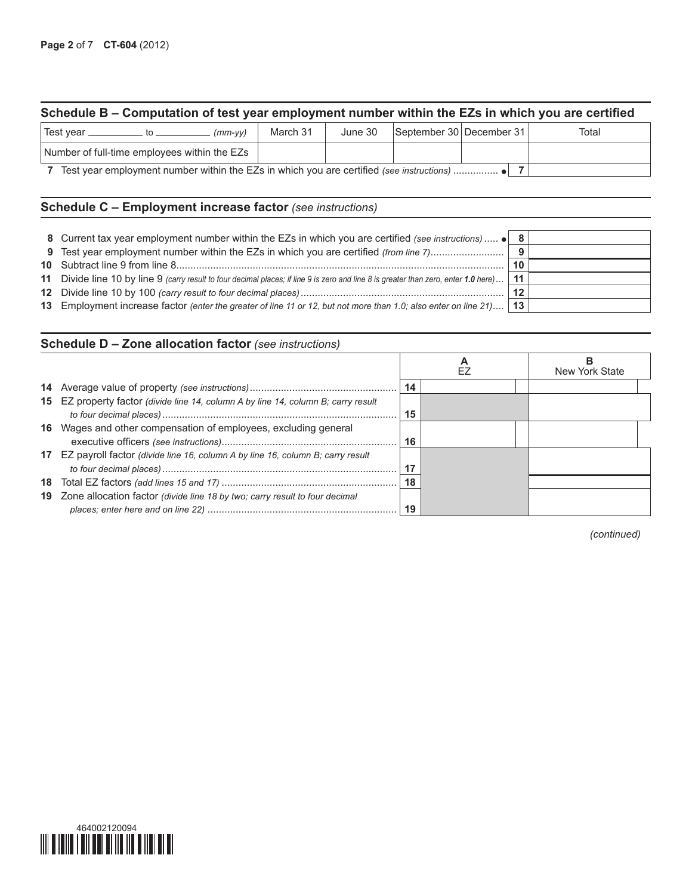# **Schedule B – Computation of test year employment number within the EZs in which you are certified**

| Test year<br>$(mm-vv)$                                                                   | March 31 | June 30 | September 30 December 31 |  |  | Total |
|------------------------------------------------------------------------------------------|----------|---------|--------------------------|--|--|-------|
| Number of full-time employees within the EZs                                             |          |         |                          |  |  |       |
| Test year employment number within the EZs in which you are certified (see instructions) |          |         |                          |  |  |       |

### **Schedule C – Employment increase factor** *(see instructions)*

| 8 Current tax year employment number within the EZs in which you are certified (see instructions)  • 8                               |      |  |
|--------------------------------------------------------------------------------------------------------------------------------------|------|--|
| 9 Test year employment number within the EZs in which you are certified (from line 7)                                                | -9   |  |
|                                                                                                                                      | 10   |  |
| 11 Divide line 10 by line 9 (carry result to four decimal places; if line 9 is zero and line 8 is greater than zero, enter 1.0 here) | ∣ 11 |  |
|                                                                                                                                      | -12  |  |
| 13 Employment increase factor (enter the greater of line 11 or 12, but not more than 1.0; also enter on line 21) 13                  |      |  |

# **Schedule D – Zone allocation factor** *(see instructions)*

|                                                                                          |    | New York State |
|------------------------------------------------------------------------------------------|----|----------------|
|                                                                                          | 14 |                |
| 15 EZ property factor (divide line 14, column A by line 14, column B; carry result       | 15 |                |
| 16 Wages and other compensation of employees, excluding general                          | 16 |                |
| <b>17</b> EZ payroll factor (divide line 16, column A by line 16, column B; carry result | 17 |                |
|                                                                                          |    |                |
| 19 Zone allocation factor (divide line 18 by two; carry result to four decimal           |    |                |

*(continued)*

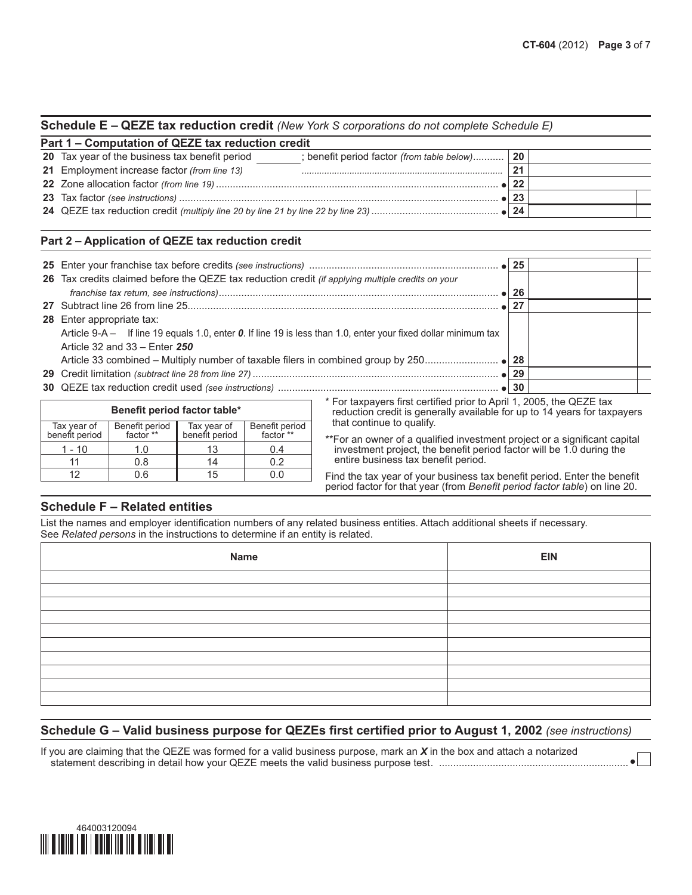| Schedule E - QEZE tax reduction credit (New York S corporations do not complete Schedule E) |  |  |  |
|---------------------------------------------------------------------------------------------|--|--|--|
|---------------------------------------------------------------------------------------------|--|--|--|

| Part 1 - Computation of QEZE tax reduction credit                                                 |              |  |  |  |  |  |  |
|---------------------------------------------------------------------------------------------------|--------------|--|--|--|--|--|--|
| 20 Tax year of the business tax benefit period<br>; benefit period factor (from table below)   20 |              |  |  |  |  |  |  |
| 21 Employment increase factor (from line 13)                                                      | 21           |  |  |  |  |  |  |
|                                                                                                   |              |  |  |  |  |  |  |
|                                                                                                   | 23           |  |  |  |  |  |  |
|                                                                                                   | $\bullet$ 24 |  |  |  |  |  |  |

### **Part 2 – Application of QEZE tax reduction credit**

| 26 Tax credits claimed before the QEZE tax reduction credit (if applying multiple credits on your              |  |
|----------------------------------------------------------------------------------------------------------------|--|
|                                                                                                                |  |
|                                                                                                                |  |
| <b>28</b> Enter appropriate tax:                                                                               |  |
| Article 9-A - If line 19 equals 1.0, enter 0. If line 19 is less than 1.0, enter your fixed dollar minimum tax |  |
| Article 32 and $33 -$ Enter $250$                                                                              |  |
|                                                                                                                |  |
|                                                                                                                |  |
|                                                                                                                |  |

| Benefit period factor table*  |                             |                               |                             |  |  |  |  |
|-------------------------------|-----------------------------|-------------------------------|-----------------------------|--|--|--|--|
| Tax year of<br>benefit period | Benefit period<br>factor ** | Tax year of<br>benefit period | Benefit period<br>factor ** |  |  |  |  |
| 1 - 10                        | 1.0                         |                               |                             |  |  |  |  |
|                               | 0.8                         |                               | በ 2                         |  |  |  |  |
| 19                            |                             | 15                            |                             |  |  |  |  |

\* For taxpayers first certified prior to April 1, 2005, the QEZE tax reduction credit is generally available for up to 14 years for taxpayers that continue to qualify.

\*\*For an owner of a qualified investment project or a significant capital investment project, the benefit period factor will be 1.0 during the entire business tax benefit period.

Find the tax year of your business tax benefit period. Enter the benefit period factor for that year (from *Benefit period factor table*) on line 20.

### **Schedule F – Related entities**

List the names and employer identification numbers of any related business entities. Attach additional sheets if necessary. See *Related persons* in the instructions to determine if an entity is related.

| Name | <b>EIN</b> |
|------|------------|
|      |            |
|      |            |
|      |            |
|      |            |
|      |            |
|      |            |
|      |            |
|      |            |
|      |            |
|      |            |

### **Schedule G – Valid business purpose for QEZEs first certified prior to August 1, 2002** *(see instructions)*

If you are claiming that the QEZE was formed for a valid business purpose, mark an *X* in the box and attach a notarized statement describing in detail how your QEZE meets the valid business purpose test. ...................................................................

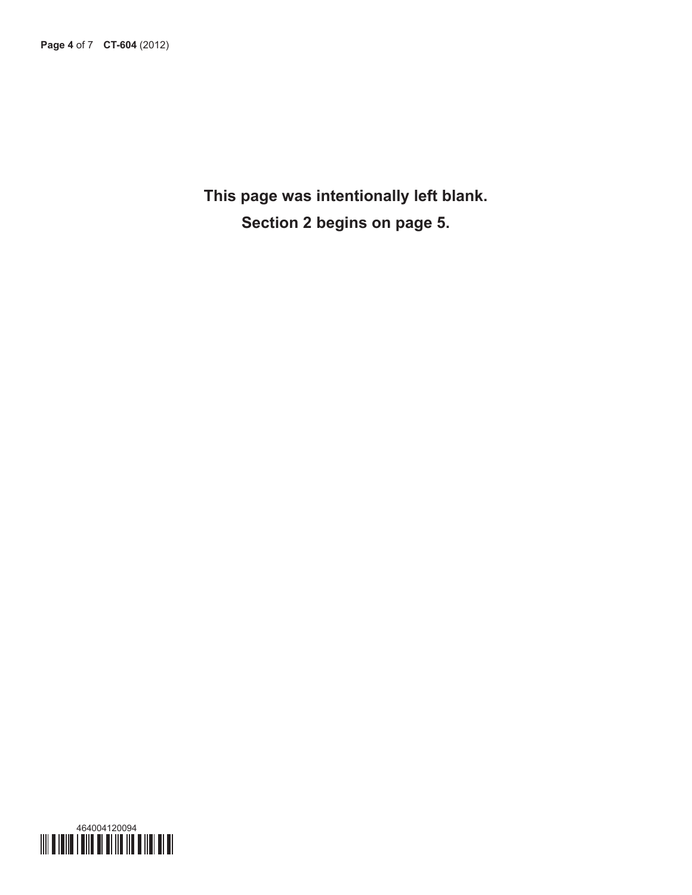**This page was intentionally left blank. Section 2 begins on page 5.**

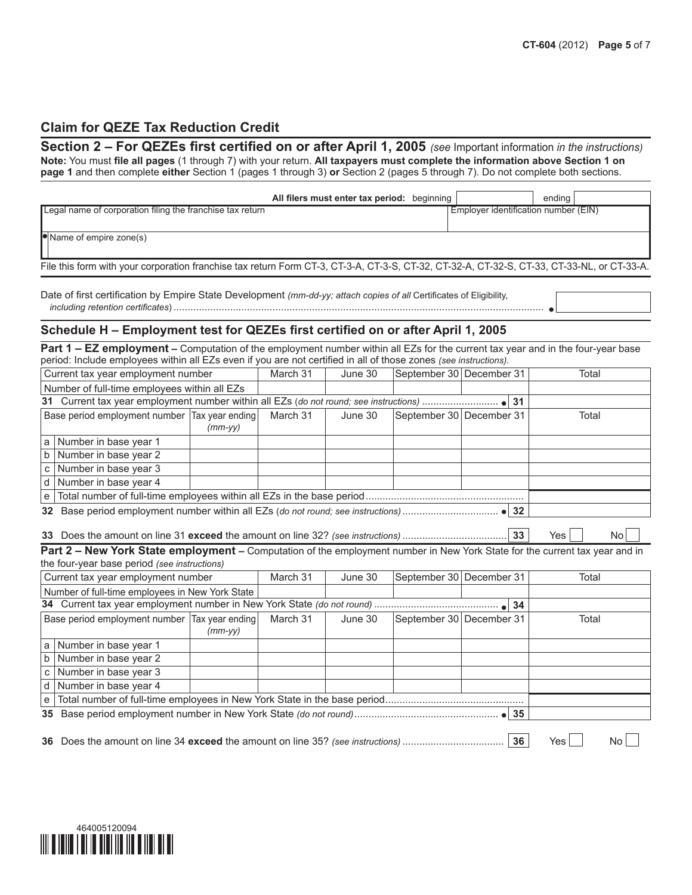$\blacksquare$ 

### **Claim for QEZE Tax Reduction Credit**

**Section 2 – For QEZEs first certified on or after April 1, 2005** *(see* Important information *in the instructions)* **Note:** You must **file all pages** (1 through 7) with your return. **All taxpayers must complete the information above Section 1 on page 1** and then complete **either** Section 1 (pages 1 through 3) **or** Section 2 (pages 5 through 7). Do not complete both sections.

| All filers must enter tax period: beginning                                                                                         | ending                               |
|-------------------------------------------------------------------------------------------------------------------------------------|--------------------------------------|
| Legal name of corporation filing the franchise tax return                                                                           | Employer identification number (EIN) |
| Name of empire zone(s)                                                                                                              |                                      |
|                                                                                                                                     |                                      |
| File this form with your corporation franchise tax return Form CT-3, CT-3-A, CT-3-S, CT-32-A, CT-32-S, CT-33, CT-33-NL, or CT-33-A. |                                      |

Date of first certification by Empire State Development *(mm-dd-yy; attach copies of all* Certificates of Eligibility, *including retention certificates*) ...................................................................................................................................

### **Schedule H – Employment test for QEZEs first certified on or after April 1, 2005**

**Part 1 – EZ employment** – Computation of the employment number within all EZs for the current tax year and in the four-year base period: Include employees within all EZs even if you are not certified in all of those zones *(see instructions).*

|  | Current tax year employment number              |           | March 31 | June 30 | September 30 December 31 |  |  | Total |
|--|-------------------------------------------------|-----------|----------|---------|--------------------------|--|--|-------|
|  | Number of full-time employees within all EZs    |           |          |         |                          |  |  |       |
|  |                                                 |           |          |         |                          |  |  |       |
|  | Base period employment number   Tax year ending |           | March 31 | June 30 | September 30 December 31 |  |  | Total |
|  |                                                 | $(mm-yy)$ |          |         |                          |  |  |       |
|  | a Number in base year 1                         |           |          |         |                          |  |  |       |
|  | b   Number in base year 2                       |           |          |         |                          |  |  |       |
|  | c   Number in base year $3$                     |           |          |         |                          |  |  |       |
|  | d   Number in base year 4                       |           |          |         |                          |  |  |       |
|  |                                                 |           |          |         |                          |  |  |       |
|  |                                                 |           |          |         |                          |  |  |       |

#### **33** Does the amount on line 31 **exceed** the amount on line 32? *(see instructions)* ..................................... **33** Yes No

**Part 2 – New York State employment –** Computation of the employment number in New York State for the current tax year and in the four-year base period *(see instructions)*

|                                                            | Current tax year employment number              |  | March 31 | June 30 | September 30 December 31 |  | Total |  |
|------------------------------------------------------------|-------------------------------------------------|--|----------|---------|--------------------------|--|-------|--|
|                                                            | Number of full-time employees in New York State |  |          |         |                          |  |       |  |
|                                                            |                                                 |  |          |         |                          |  |       |  |
| Base period employment number Tax year ending<br>$(mm-vv)$ |                                                 |  | March 31 | June 30 | September 30 December 31 |  | Total |  |
|                                                            | a   Number in base year 1                       |  |          |         |                          |  |       |  |
|                                                            | b Number in base year 2                         |  |          |         |                          |  |       |  |
|                                                            | c Number in base year $3$                       |  |          |         |                          |  |       |  |
|                                                            | d   Number in base year 4                       |  |          |         |                          |  |       |  |
|                                                            |                                                 |  |          |         |                          |  |       |  |
|                                                            |                                                 |  |          |         |                          |  |       |  |
|                                                            |                                                 |  |          |         |                          |  |       |  |

**36** Does the amount on line 34 **exceed** the amount on line 35? *(see instructions)* .................................... **36** Yes No

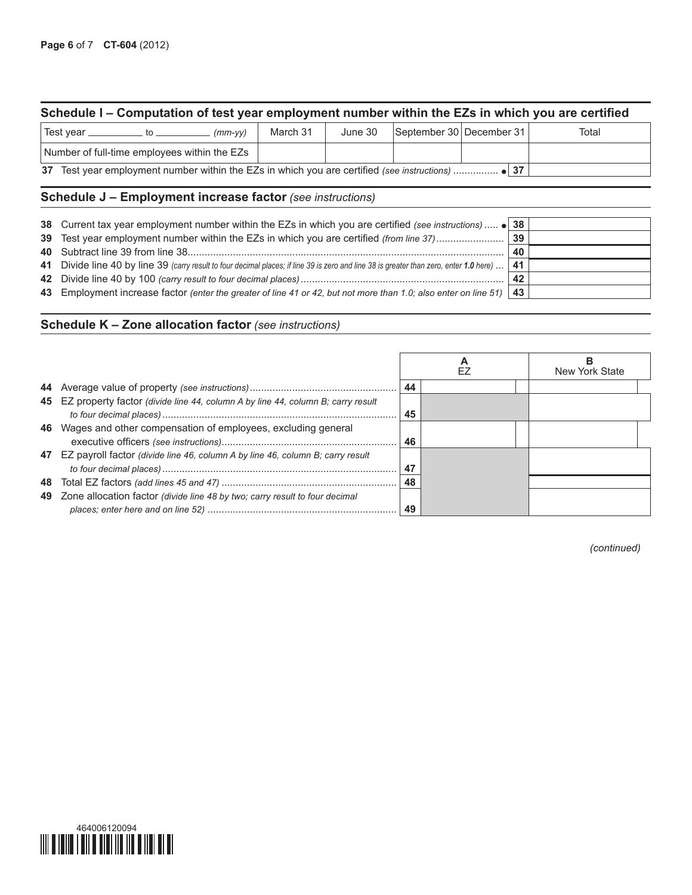# **Schedule I – Computation of test year employment number within the EZs in which you are certified**

| ∣Test vear                                   |                                                                                                   |  | $(mm-vv)$ | March 31 | June 30 | September 30 December 31 | Total |
|----------------------------------------------|---------------------------------------------------------------------------------------------------|--|-----------|----------|---------|--------------------------|-------|
| Number of full-time employees within the EZs |                                                                                                   |  |           |          |         |                          |       |
|                                              | 37 Test year employment number within the EZs in which you are certified (see instructions)  ● 37 |  |           |          |         |                          |       |

# **Schedule J – Employment increase factor** *(see instructions)*

| 38 Current tax year employment number within the EZs in which you are certified (see instructions)  • 38                                |    |  |
|-----------------------------------------------------------------------------------------------------------------------------------------|----|--|
|                                                                                                                                         | 40 |  |
| 41 Divide line 40 by line 39 (carry result to four decimal places; if line 39 is zero and line 38 is greater than zero, enter 1.0 here) | 41 |  |
|                                                                                                                                         | 42 |  |
| 43 Employment increase factor (enter the greater of line 41 or 42, but not more than 1.0; also enter on line 51) 43                     |    |  |
|                                                                                                                                         |    |  |

### **Schedule K – Zone allocation factor** *(see instructions)*

|                                                                                    |    |  | New York State |
|------------------------------------------------------------------------------------|----|--|----------------|
|                                                                                    | 44 |  |                |
| 45 EZ property factor (divide line 44, column A by line 44, column B; carry result | 45 |  |                |
| 46 Wages and other compensation of employees, excluding general                    | 46 |  |                |
| 47 EZ payroll factor (divide line 46, column A by line 46, column B; carry result  | 47 |  |                |
|                                                                                    | 48 |  |                |
| 49 Zone allocation factor (divide line 48 by two; carry result to four decimal     | 49 |  |                |

*(continued)*